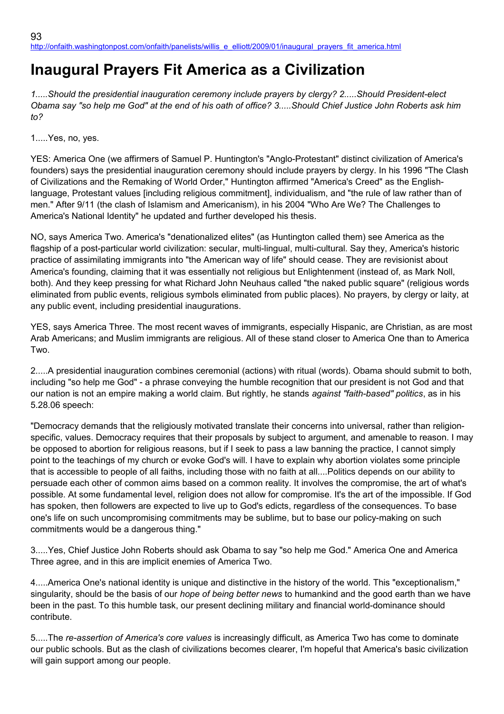## **Inaugural Prayers Fit America as a Civilization**

*1.....Should the presidential inauguration ceremony include prayers by clergy? 2.....Should President-elect Obama say "so help me God" at the end of his oath of office? 3.....Should Chief Justice John Roberts ask him to?*

1.....Yes, no, yes.

YES: America One (we affirmers of Samuel P. Huntington's "Anglo-Protestant" distinct civilization of America's founders) says the presidential inauguration ceremony should include prayers by clergy. In his 1996 "The Clash of Civilizations and the Remaking of World Order," Huntington affirmed "America's Creed" as the Englishlanguage, Protestant values [including religious commitment], individualism, and "the rule of law rather than of men." After 9/11 (the clash of Islamism and Americanism), in his 2004 "Who Are We? The Challenges to America's National Identity" he updated and further developed his thesis.

NO, says America Two. America's "denationalized elites" (as Huntington called them) see America as the flagship of a post-particular world civilization: secular, multi-lingual, multi-cultural. Say they, America's historic practice of assimilating immigrants into "the American way of life" should cease. They are revisionist about America's founding, claiming that it was essentially not religious but Enlightenment (instead of, as Mark Noll, both). And they keep pressing for what Richard John Neuhaus called "the naked public square" (religious words eliminated from public events, religious symbols eliminated from public places). No prayers, by clergy or laity, at any public event, including presidential inaugurations.

YES, says America Three. The most recent waves of immigrants, especially Hispanic, are Christian, as are most Arab Americans; and Muslim immigrants are religious. All of these stand closer to America One than to America Two.

2.....A presidential inauguration combines ceremonial (actions) with ritual (words). Obama should submit to both, including "so help me God" - a phrase conveying the humble recognition that our president is not God and that our nation is not an empire making a world claim. But rightly, he stands *against "faith-based" politics*, as in his 5.28.06 speech:

"Democracy demands that the religiously motivated translate their concerns into universal, rather than religionspecific, values. Democracy requires that their proposals by subject to argument, and amenable to reason. I may be opposed to abortion for religious reasons, but if I seek to pass a law banning the practice, I cannot simply point to the teachings of my church or evoke God's will. I have to explain why abortion violates some principle that is accessible to people of all faiths, including those with no faith at all....Politics depends on our ability to persuade each other of common aims based on a common reality. It involves the compromise, the art of what's possible. At some fundamental level, religion does not allow for compromise. It's the art of the impossible. If God has spoken, then followers are expected to live up to God's edicts, regardless of the consequences. To base one's life on such uncompromising commitments may be sublime, but to base our policy-making on such commitments would be a dangerous thing."

3.....Yes, Chief Justice John Roberts should ask Obama to say "so help me God." America One and America Three agree, and in this are implicit enemies of America Two.

4.....America One's national identity is unique and distinctive in the history of the world. This "exceptionalism," singularity, should be the basis of our *hope of being better news* to humankind and the good earth than we have been in the past. To this humble task, our present declining military and financial world-dominance should contribute.

5.....The *re-assertion of America's core values* is increasingly difficult, as America Two has come to dominate our public schools. But as the clash of civilizations becomes clearer, I'm hopeful that America's basic civilization will gain support among our people.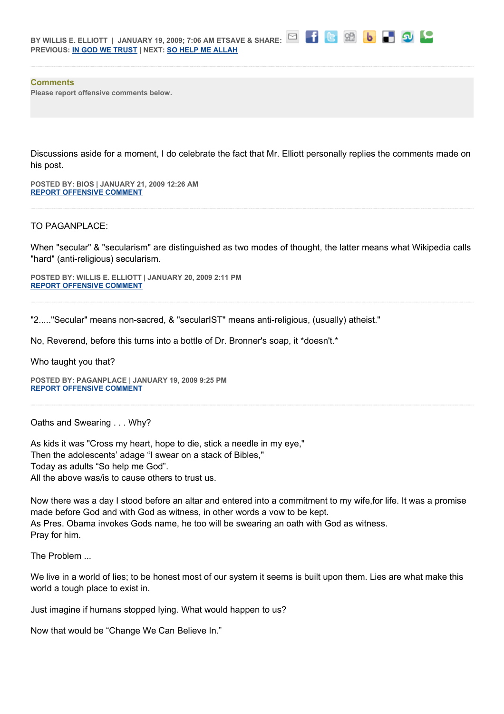|                                                                         | BY WILLIS E. ELLIOTT   JANUARY 19, 2009; 7:06 AM ETSAVE & SHARE: |
|-------------------------------------------------------------------------|------------------------------------------------------------------|
| <b>PREVIOUS: <u>IN GOD WE TRUST</u></b>   NEXT: <b>SO HELP ME ALLAH</b> |                                                                  |



## **Comments**

**Please report offensive comments below.**

Discussions aside for a moment, I do celebrate the fact that Mr. Elliott personally replies the comments made on his post.

**POSTED BY: BIOS | JANUARY 21, 2009 12:26 AM [REPORT OFFENSIVE COMMENT](mailto:blogs@washingtonpost.com?subject=On%20Faith%20Panelists%20Blog%20%20%7C%20%20Bios%20%20%7C%20%20Inaugural%20Prayers%20Fit%20America%20as%20a%20Civilization%20%20%7C%20%204585997&body=%0D%0D%0D%0D%0D================%0D?__mode=view%26_type=comment%26id=4585997%26blog_id=618)**

## TO PAGANPLACE:

When "secular" & "secularism" are distinguished as two modes of thought, the latter means what Wikipedia calls "hard" (anti-religious) secularism.

**POSTED BY: WILLIS E. ELLIOTT | JANUARY 20, 2009 2:11 PM [REPORT OFFENSIVE COMMENT](mailto:blogs@washingtonpost.com?subject=On%20Faith%20Panelists%20Blog%20%20%7C%20%20Willis%20E.%20Elliott%20%20%7C%20%20Inaugural%20Prayers%20Fit%20America%20as%20a%20Civilization%20%20%7C%20%204585809&body=%0D%0D%0D%0D%0D================%0D?__mode=view%26_type=comment%26id=4585809%26blog_id=618)**

"2....."Secular" means non-sacred, & "secularIST" means anti-religious, (usually) atheist."

No, Reverend, before this turns into a bottle of Dr. Bronner's soap, it \*doesn't.\*

Who taught you that?

**POSTED BY: PAGANPLACE | JANUARY 19, 2009 9:25 PM [REPORT OFFENSIVE COMMENT](mailto:blogs@washingtonpost.com?subject=On%20Faith%20Panelists%20Blog%20%20%7C%20%20Paganplace%20%20%7C%20%20Inaugural%20Prayers%20Fit%20America%20as%20a%20Civilization%20%20%7C%20%204585681&body=%0D%0D%0D%0D%0D================%0D?__mode=view%26_type=comment%26id=4585681%26blog_id=618)**

Oaths and Swearing . . . Why?

As kids it was "Cross my heart, hope to die, stick a needle in my eye," Then the adolescents' adage "I swear on a stack of Bibles," Today as adults "So help me God". All the above was/is to cause others to trust us.

Now there was a day I stood before an altar and entered into a commitment to my wife,for life. It was a promise made before God and with God as witness, in other words a vow to be kept. As Pres. Obama invokes Gods name, he too will be swearing an oath with God as witness. Pray for him.

The Problem ...

We live in a world of lies; to be honest most of our system it seems is built upon them. Lies are what make this world a tough place to exist in.

Just imagine if humans stopped lying. What would happen to us?

Now that would be "Change We Can Believe In."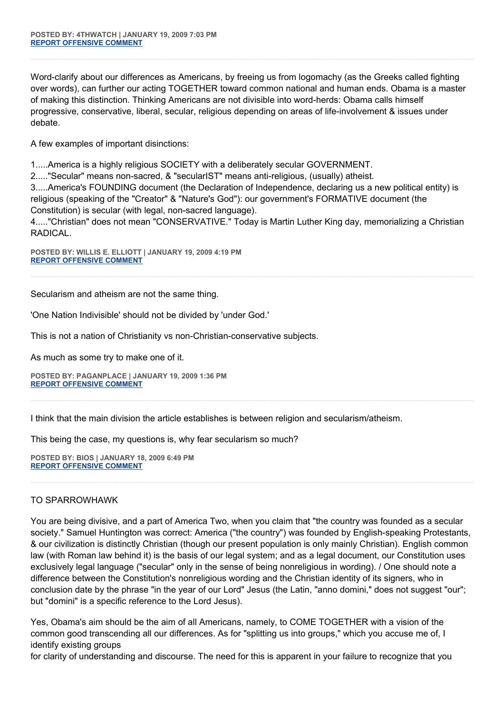Word-clarify about our differences as Americans, by freeing us from logomachy (as the Greeks called fighting over words), can further our acting TOGETHER toward common national and human ends. Obama is a master of making this distinction. Thinking Americans are not divisible into word-herds: Obama calls himself progressive, conservative, liberal, secular, religious depending on areas of life-involvement & issues under debate.

A few examples of important disinctions:

1.....America is a highly religious SOCIETY with a deliberately secular GOVERNMENT.

2....."Secular" means non-sacred, & "secularIST" means anti-religious, (usually) atheist.

3.....America's FOUNDING document (the Declaration of Independence, declaring us a new political entity) is religious (speaking of the "Creator" & "Nature's God"): our government's FORMATIVE document (the Constitution) is secular (with legal, non-sacred language).

4....."Christian" does not mean "CONSERVATIVE." Today is Martin Luther King day, memorializing a Christian RADICAL.

**POSTED BY: WILLIS E. ELLIOTT | JANUARY 19, 2009 4:19 PM [REPORT OFFENSIVE COMMENT](mailto:blogs@washingtonpost.com?subject=On%20Faith%20Panelists%20Blog%20%20%7C%20%20Willis%20E.%20Elliott%20%20%7C%20%20Inaugural%20Prayers%20Fit%20America%20as%20a%20Civilization%20%20%7C%20%204585619&body=%0D%0D%0D%0D%0D================%0D?__mode=view%26_type=comment%26id=4585619%26blog_id=618)**

Secularism and atheism are not the same thing.

'One Nation Indivisible' should not be divided by 'under God.'

This is not a nation of Christianity vs non-Christian-conservative subjects.

As much as some try to make one of it.

**POSTED BY: PAGANPLACE | JANUARY 19, 2009 1:36 PM [REPORT OFFENSIVE COMMENT](mailto:blogs@washingtonpost.com?subject=On%20Faith%20Panelists%20Blog%20%20%7C%20%20Paganplace%20%20%7C%20%20Inaugural%20Prayers%20Fit%20America%20as%20a%20Civilization%20%20%7C%20%204585586&body=%0D%0D%0D%0D%0D================%0D?__mode=view%26_type=comment%26id=4585586%26blog_id=618)**

I think that the main division the article establishes is between religion and secularism/atheism.

This being the case, my questions is, why fear secularism so much?

**POSTED BY: BIOS | JANUARY 18, 2009 6:49 PM [REPORT OFFENSIVE COMMENT](mailto:blogs@washingtonpost.com?subject=On%20Faith%20Panelists%20Blog%20%20%7C%20%20Bios%20%20%7C%20%20Inaugural%20Prayers%20Fit%20America%20as%20a%20Civilization%20%20%7C%20%204585392&body=%0D%0D%0D%0D%0D================%0D?__mode=view%26_type=comment%26id=4585392%26blog_id=618)**

## TO SPARROWHAWK

You are being divisive, and a part of America Two, when you claim that "the country was founded as a secular society." Samuel Huntington was correct: America ("the country") was founded by English-speaking Protestants, & our civilization is distinctly Christian (though our present population is only mainly Christian). English common law (with Roman law behind it) is the basis of our legal system; and as a legal document, our Constitution uses exclusively legal language ("secular" only in the sense of being nonreligious in wording). / One should note a difference between the Constitution's nonreligious wording and the Christian identity of its signers, who in conclusion date by the phrase "in the year of our Lord" Jesus (the Latin, "anno domini," does not suggest "our"; but "domini" is a specific reference to the Lord Jesus).

Yes, Obama's aim should be the aim of all Americans, namely, to COME TOGETHER with a vision of the common good transcending all our differences. As for "splitting us into groups," which you accuse me of, I identify existing groups

for clarity of understanding and discourse. The need for this is apparent in your failure to recognize that you